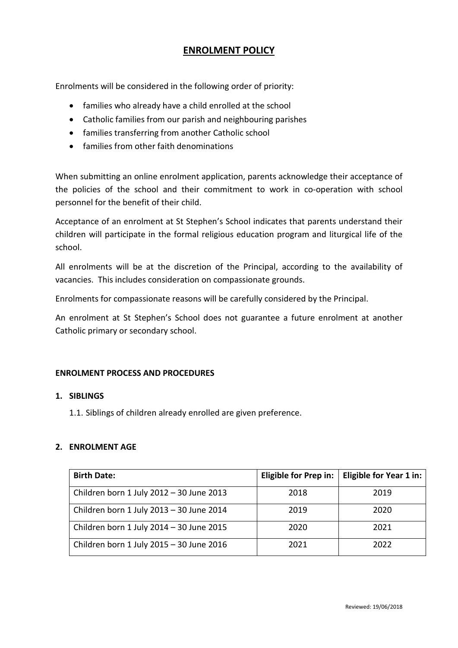# **ENROLMENT POLICY**

Enrolments will be considered in the following order of priority:

- families who already have a child enrolled at the school
- Catholic families from our parish and neighbouring parishes
- families transferring from another Catholic school
- families from other faith denominations

When submitting an online enrolment application, parents acknowledge their acceptance of the policies of the school and their commitment to work in co-operation with school personnel for the benefit of their child.

Acceptance of an enrolment at St Stephen's School indicates that parents understand their children will participate in the formal religious education program and liturgical life of the school.

All enrolments will be at the discretion of the Principal, according to the availability of vacancies. This includes consideration on compassionate grounds.

Enrolments for compassionate reasons will be carefully considered by the Principal.

An enrolment at St Stephen's School does not guarantee a future enrolment at another Catholic primary or secondary school.

# **ENROLMENT PROCESS AND PROCEDURES**

## **1. SIBLINGS**

1.1. Siblings of children already enrolled are given preference.

#### **2. ENROLMENT AGE**

| <b>Birth Date:</b>                       | <b>Eligible for Prep in:</b> | <b>Eligible for Year 1 in:</b> |
|------------------------------------------|------------------------------|--------------------------------|
| Children born 1 July 2012 - 30 June 2013 | 2018                         | 2019                           |
| Children born 1 July 2013 - 30 June 2014 | 2019                         | 2020                           |
| Children born 1 July 2014 - 30 June 2015 | 2020                         | 2021                           |
| Children born 1 July 2015 - 30 June 2016 | 2021                         | 2022                           |